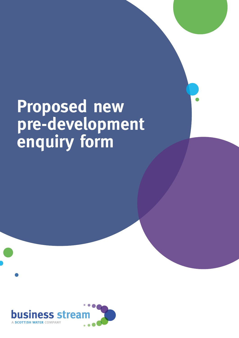# **Proposed new pre-development enquiry form**

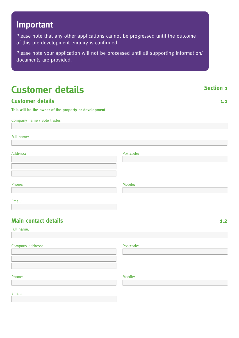## **Important**

Please note that any other applications cannot be progressed until the outcome of this pre-development enquiry is confirmed.

Please note your application will not be processed until all supporting information/ documents are provided.

## **Customer details** Section 1

### **Customer details 1.1**

**This will be the owner of the property or development**

Company name / Sole trader:

Full name:

| Address: | Postcode: |
|----------|-----------|
|          |           |
|          |           |
|          |           |
|          |           |
| Phone:   | Mobile:   |

Email:

## **Main contact details 1.2**

Full name:

Company address: Notice and the extent of the Postcode:

Phone: Mobile: The Mobile: The Mobile: The Mobile: The Mobile: The Mobile: The Mobile: The Mobile: The Mobile: The Mobile: The Mobile: The Mobile: The Mobile: The Mobile: The Mobile: The Mobile: The Mobile: The Mobile: The

Email: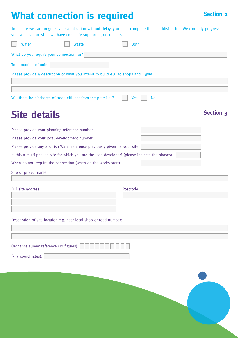## **What connection is required Section 2 Section 2**

To ensure we can progress your application without delay, you must complete this checklist in full. We can only progress your application when we have complete supporting documents.

| Water                                    | Waste                                                                             | <b>Both</b> |           |
|------------------------------------------|-----------------------------------------------------------------------------------|-------------|-----------|
| What do you require your connection for? |                                                                                   |             |           |
| Total number of units                    |                                                                                   |             |           |
|                                          | Please provide a description of what you intend to build e.g. 10 shops and 1 gym: |             |           |
|                                          |                                                                                   |             |           |
|                                          | Will there be discharge of trade effluent from the premises?                      | Yes         | <b>No</b> |

## Site details Site of the Section 3

| Please provide your planning reference number:                                                 |  |  |  |  |
|------------------------------------------------------------------------------------------------|--|--|--|--|
| Please provide your local development number:                                                  |  |  |  |  |
| Please provide any Scottish Water reference previously given for your site:                    |  |  |  |  |
| Is this a multi-phased site for which you are the lead developer? (please indicate the phases) |  |  |  |  |
| When do you require the connection (when do the works start):                                  |  |  |  |  |
| Site or project name:                                                                          |  |  |  |  |
|                                                                                                |  |  |  |  |
| Full site address:<br>Postcode:                                                                |  |  |  |  |
|                                                                                                |  |  |  |  |
|                                                                                                |  |  |  |  |

Description of site location e.g. near local shop or road number:

(x, y coordinates):

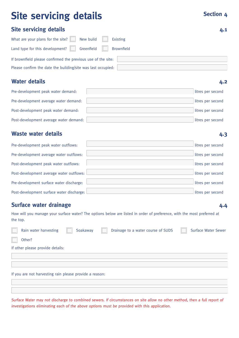## **Site servicing details Site servicing details Section 4**

**4.2**

**4.3**

### **Site servicing details 4.1**

| What are your plans for the site? $\Box$ New build           | Existing   |
|--------------------------------------------------------------|------------|
| Land type for this development? $\Box$ Greenfield $\Box$     | Brownfield |
| If brownfield please confirmed the previous use of the site: |            |
| Please confirm the date the building/site was last occupied: |            |

### **Water details**

| Pre-development peak water demand:     | litres per second |
|----------------------------------------|-------------------|
| Pre-development average water demand:  | litres per second |
| Post-development peak water demand:    | litres per second |
| Post-development average water demand: | litres per second |

### **Waste water details**

| Pre-development peak water outflows:      | litres per second |
|-------------------------------------------|-------------------|
| Pre-development average water outflows:   | litres per second |
| Post-development peak water outflows:     | litres per second |
| Post-development average water outflows:  | litres per second |
| Pre-development surface water discharge:  | litres per second |
| Post-development surface water discharge: | litres per second |

## **Surface water drainage**

**4.4**

How will you manage your surface water? The options below are listed in order of preference, with the most preferred at the top.

| Rain water harvesting                                   | Soakaway | Drainage to a water course of SUDS | <b>Surface Water Sewer</b> |
|---------------------------------------------------------|----------|------------------------------------|----------------------------|
| Other?                                                  |          |                                    |                            |
| If other please provide details:                        |          |                                    |                            |
|                                                         |          |                                    |                            |
|                                                         |          |                                    |                            |
| If you are not harvesting rain please provide a reason: |          |                                    |                            |
|                                                         |          |                                    |                            |

Surface Water may not discharge to combined sewers. If circumstances on site allow no other method, then a full report of investigations eliminating each of the above options must be provided with this application.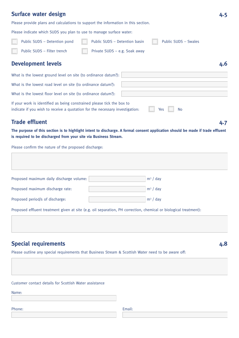### **Surface water design 4.5**

Please provide plans and calculations to support the information in this section.

Please indicate which SUDS you plan to use to manage surface water:

| <b>Development levels</b>    |                               |                      | 4.6 |
|------------------------------|-------------------------------|----------------------|-----|
| Public SUDS - Filter trench  | Private SUDS - e.g. Soak away |                      |     |
| Public SUDS - Detention pond | Public SUDS - Detention basin | Public SUDS - Swales |     |

## What is the lowest ground level on site (to ordinance datum?): What is the lowest road level on site (to ordinance datum?): What is the lowest floor level on site (to ordinance datum?): If your work is identified as being constrained please tick the box to indicate if you wish to receive a quotation for the necessary investigation:  $\blacksquare$  Yes  $\blacksquare$  No

### **Trade effluent**

**4.7**

**The purpose of this section is to highlight intent to discharge. A formal consent application should be made if trade effluent is required to be discharged from your site via Business Stream.** 

Please confirm the nature of the proposed discharge:

| Proposed maximum daily discharge volume:                                                                          | $m^3$ / day |
|-------------------------------------------------------------------------------------------------------------------|-------------|
| Proposed maximum discharge rate:                                                                                  | $m^3$ / day |
| Proposed period/s of discharge:                                                                                   | $m^3$ / day |
| Proposed effluent treatment given at site (e.g. oil separation, PH correction, chemical or biological treatment): |             |

**Special requirements** 

**4.8**

Please outline any special requirements that Business Stream & Scottish Water need to be aware off:

Customer contact details for Scottish Water assistance

Name:

Phone: Email: